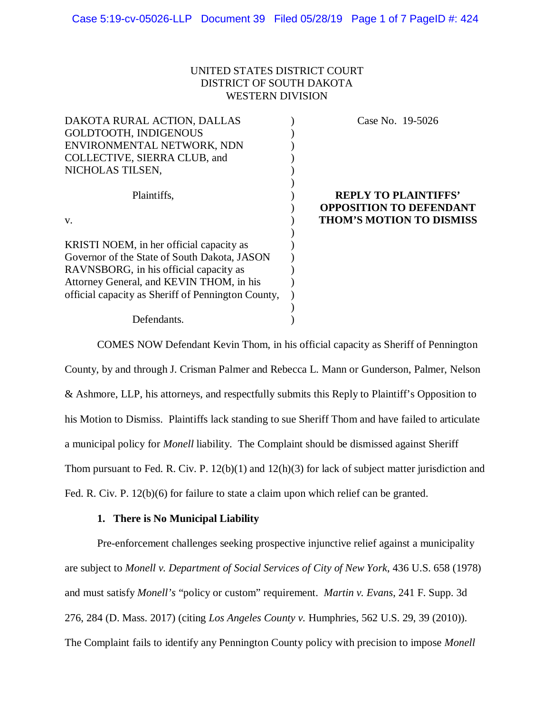# UNITED STATES DISTRICT COURT DISTRICT OF SOUTH DAKOTA WESTERN DIVISION

| DAKOTA RURAL ACTION, DALLAS                        | Case No. 19-5026                                              |
|----------------------------------------------------|---------------------------------------------------------------|
| GOLDTOOTH, INDIGENOUS                              |                                                               |
| ENVIRONMENTAL NETWORK, NDN                         |                                                               |
| COLLECTIVE, SIERRA CLUB, and                       |                                                               |
| NICHOLAS TILSEN,                                   |                                                               |
| Plaintiffs,                                        | <b>REPLY TO PLAINTIFFS'</b><br><b>OPPOSITION TO DEFENDANT</b> |
| V.                                                 | <b>THOM'S MOTION TO DISMISS</b>                               |
| KRISTI NOEM, in her official capacity as           |                                                               |
| Governor of the State of South Dakota, JASON       |                                                               |
| RAVNSBORG, in his official capacity as             |                                                               |
| Attorney General, and KEVIN THOM, in his           |                                                               |
| official capacity as Sheriff of Pennington County, |                                                               |
|                                                    |                                                               |
| Defendants.                                        |                                                               |

COMES NOW Defendant Kevin Thom, in his official capacity as Sheriff of Pennington County, by and through J. Crisman Palmer and Rebecca L. Mann or Gunderson, Palmer, Nelson & Ashmore, LLP, his attorneys, and respectfully submits this Reply to Plaintiff's Opposition to his Motion to Dismiss. Plaintiffs lack standing to sue Sheriff Thom and have failed to articulate a municipal policy for *Monell* liability. The Complaint should be dismissed against Sheriff Thom pursuant to Fed. R. Civ. P. 12(b)(1) and 12(h)(3) for lack of subject matter jurisdiction and Fed. R. Civ. P. 12(b)(6) for failure to state a claim upon which relief can be granted.

# **1. There is No Municipal Liability**

Pre-enforcement challenges seeking prospective injunctive relief against a municipality are subject to *Monell v. Department of Social Services of City of New York*, 436 U.S. 658 (1978) and must satisfy *Monell's* "policy or custom" requirement. *Martin v. Evans*, 241 F. Supp. 3d 276, 284 (D. Mass. 2017) (citing *Los Angeles County v.* Humphries, 562 U.S. 29, 39 (2010)). The Complaint fails to identify any Pennington County policy with precision to impose *Monell*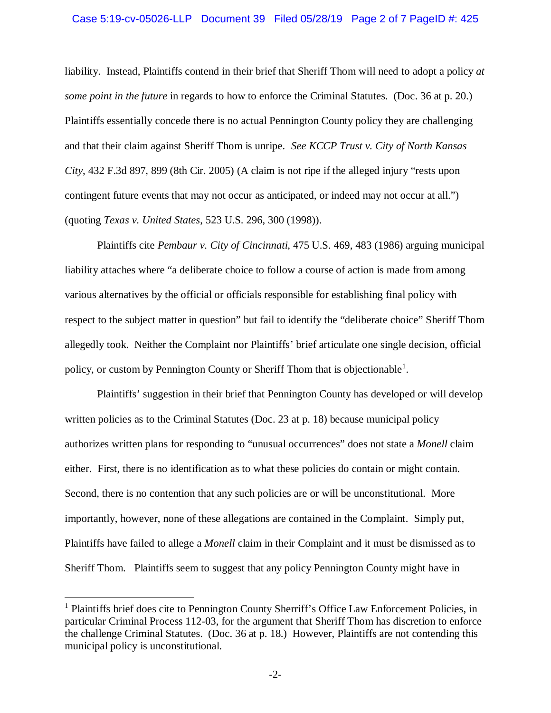### Case 5:19-cv-05026-LLP Document 39 Filed 05/28/19 Page 2 of 7 PageID #: 425

liability. Instead, Plaintiffs contend in their brief that Sheriff Thom will need to adopt a policy *at some point in the future* in regards to how to enforce the Criminal Statutes. (Doc. 36 at p. 20.) Plaintiffs essentially concede there is no actual Pennington County policy they are challenging and that their claim against Sheriff Thom is unripe. *See KCCP Trust v. City of North Kansas City*, 432 F.3d 897, 899 (8th Cir. 2005) (A claim is not ripe if the alleged injury "rests upon contingent future events that may not occur as anticipated, or indeed may not occur at all.") (quoting *Texas v. United States*, 523 U.S. 296, 300 (1998)).

Plaintiffs cite *Pembaur v. City of Cincinnati*, 475 U.S. 469, 483 (1986) arguing municipal liability attaches where "a deliberate choice to follow a course of action is made from among various alternatives by the official or officials responsible for establishing final policy with respect to the subject matter in question" but fail to identify the "deliberate choice" Sheriff Thom allegedly took. Neither the Complaint nor Plaintiffs' brief articulate one single decision, official policy, or custom by Pennington County or Sheriff Thom that is objectionable<sup>1</sup>.

Plaintiffs' suggestion in their brief that Pennington County has developed or will develop written policies as to the Criminal Statutes (Doc. 23 at p. 18) because municipal policy authorizes written plans for responding to "unusual occurrences" does not state a *Monell* claim either. First, there is no identification as to what these policies do contain or might contain. Second, there is no contention that any such policies are or will be unconstitutional. More importantly, however, none of these allegations are contained in the Complaint. Simply put, Plaintiffs have failed to allege a *Monell* claim in their Complaint and it must be dismissed as to Sheriff Thom. Plaintiffs seem to suggest that any policy Pennington County might have in

<sup>&</sup>lt;sup>1</sup> Plaintiffs brief does cite to Pennington County Sherriff's Office Law Enforcement Policies, in particular Criminal Process 112-03, for the argument that Sheriff Thom has discretion to enforce the challenge Criminal Statutes. (Doc. 36 at p. 18.) However, Plaintiffs are not contending this municipal policy is unconstitutional.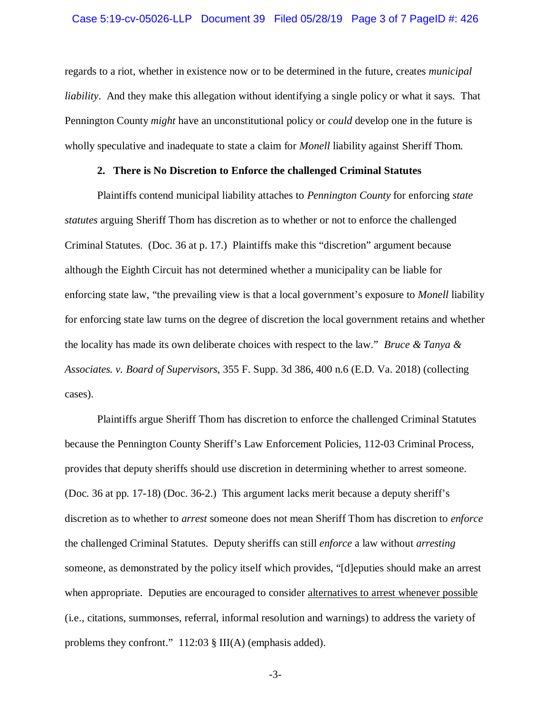regards to a riot, whether in existence now or to be determined in the future, creates *municipal liability*. And they make this allegation without identifying a single policy or what it says. That Pennington County *might* have an unconstitutional policy or *could* develop one in the future is wholly speculative and inadequate to state a claim for *Monell* liability against Sheriff Thom.

#### **2. There is No Discretion to Enforce the challenged Criminal Statutes**

Plaintiffs contend municipal liability attaches to *Pennington County* for enforcing *state statutes* arguing Sheriff Thom has discretion as to whether or not to enforce the challenged Criminal Statutes. (Doc. 36 at p. 17.) Plaintiffs make this "discretion" argument because although the Eighth Circuit has not determined whether a municipality can be liable for enforcing state law, "the prevailing view is that a local government's exposure to *Monell* liability for enforcing state law turns on the degree of discretion the local government retains and whether the locality has made its own deliberate choices with respect to the law." *Bruce & Tanya & Associates. v. Board of Supervisors*, 355 F. Supp. 3d 386, 400 n.6 (E.D. Va. 2018) (collecting cases).

Plaintiffs argue Sheriff Thom has discretion to enforce the challenged Criminal Statutes because the Pennington County Sheriff's Law Enforcement Policies, 112-03 Criminal Process, provides that deputy sheriffs should use discretion in determining whether to arrest someone. (Doc. 36 at pp. 17-18) (Doc. 36-2.) This argument lacks merit because a deputy sheriff's discretion as to whether to *arrest* someone does not mean Sheriff Thom has discretion to *enforce* the challenged Criminal Statutes. Deputy sheriffs can still *enforce* a law without *arresting* someone, as demonstrated by the policy itself which provides, "[d]eputies should make an arrest when appropriate. Deputies are encouraged to consider alternatives to arrest whenever possible (i.e., citations, summonses, referral, informal resolution and warnings) to address the variety of problems they confront." 112:03 § III(A) (emphasis added).

-3-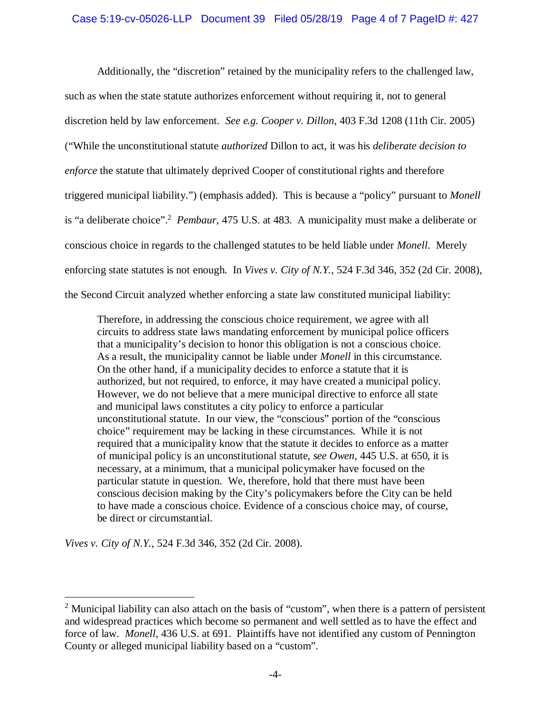Additionally, the "discretion" retained by the municipality refers to the challenged law, such as when the state statute authorizes enforcement without requiring it, not to general discretion held by law enforcement. *See e.g. Cooper v. Dillon*, 403 F.3d 1208 (11th Cir. 2005) ("While the unconstitutional statute *authorized* Dillon to act, it was his *deliberate decision to enforce* the statute that ultimately deprived Cooper of constitutional rights and therefore triggered municipal liability.") (emphasis added). This is because a "policy" pursuant to *Monell* is "a deliberate choice".<sup>2</sup> *Pembaur*, 475 U.S. at 483. A municipality must make a deliberate or conscious choice in regards to the challenged statutes to be held liable under *Monell*. Merely enforcing state statutes is not enough. In *Vives v. City of N.Y.*, 524 F.3d 346, 352 (2d Cir. 2008), the Second Circuit analyzed whether enforcing a state law constituted municipal liability:

Therefore, in addressing the conscious choice requirement, we agree with all circuits to address state laws mandating enforcement by municipal police officers that a municipality's decision to honor this obligation is not a conscious choice. As a result, the municipality cannot be liable under *Monell* in this circumstance. On the other hand, if a municipality decides to enforce a statute that it is authorized, but not required, to enforce, it may have created a municipal policy. However, we do not believe that a mere municipal directive to enforce all state and municipal laws constitutes a city policy to enforce a particular unconstitutional statute. In our view, the "conscious" portion of the "conscious choice" requirement may be lacking in these circumstances. While it is not required that a municipality know that the statute it decides to enforce as a matter of municipal policy is an unconstitutional statute, *see Owen*, 445 U.S. at 650, it is necessary, at a minimum, that a municipal policymaker have focused on the particular statute in question. We, therefore, hold that there must have been conscious decision making by the City's policymakers before the City can be held to have made a conscious choice. Evidence of a conscious choice may, of course, be direct or circumstantial.

*Vives v. City of N.Y.*, 524 F.3d 346, 352 (2d Cir. 2008).

<sup>&</sup>lt;sup>2</sup> Municipal liability can also attach on the basis of "custom", when there is a pattern of persistent and widespread practices which become so permanent and well settled as to have the effect and force of law. *Monell*, 436 U.S. at 691. Plaintiffs have not identified any custom of Pennington County or alleged municipal liability based on a "custom".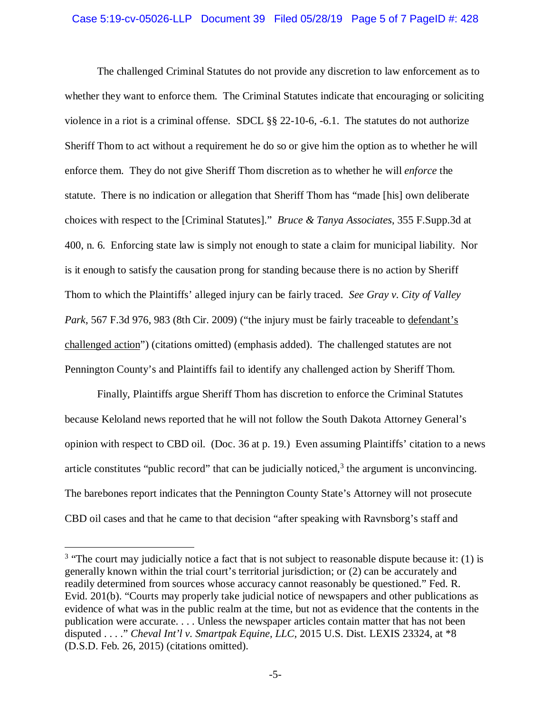The challenged Criminal Statutes do not provide any discretion to law enforcement as to whether they want to enforce them. The Criminal Statutes indicate that encouraging or soliciting violence in a riot is a criminal offense. SDCL §§ 22-10-6, -6.1. The statutes do not authorize Sheriff Thom to act without a requirement he do so or give him the option as to whether he will enforce them. They do not give Sheriff Thom discretion as to whether he will *enforce* the statute. There is no indication or allegation that Sheriff Thom has "made [his] own deliberate choices with respect to the [Criminal Statutes]." *Bruce & Tanya Associates*, 355 F.Supp.3d at 400, n. 6. Enforcing state law is simply not enough to state a claim for municipal liability. Nor is it enough to satisfy the causation prong for standing because there is no action by Sheriff Thom to which the Plaintiffs' alleged injury can be fairly traced. *See Gray v. City of Valley Park*, 567 F.3d 976, 983 (8th Cir. 2009) ("the injury must be fairly traceable to defendant's challenged action") (citations omitted) (emphasis added). The challenged statutes are not Pennington County's and Plaintiffs fail to identify any challenged action by Sheriff Thom.

Finally, Plaintiffs argue Sheriff Thom has discretion to enforce the Criminal Statutes because Keloland news reported that he will not follow the South Dakota Attorney General's opinion with respect to CBD oil. (Doc. 36 at p. 19.) Even assuming Plaintiffs' citation to a news article constitutes "public record" that can be judicially noticed, $3$  the argument is unconvincing. The barebones report indicates that the Pennington County State's Attorney will not prosecute CBD oil cases and that he came to that decision "after speaking with Ravnsborg's staff and

<sup>&</sup>lt;sup>3</sup> "The court may judicially notice a fact that is not subject to reasonable dispute because it: (1) is generally known within the trial court's territorial jurisdiction; or (2) can be accurately and readily determined from sources whose accuracy cannot reasonably be questioned." Fed. R. Evid. 201(b). "Courts may properly take judicial notice of newspapers and other publications as evidence of what was in the public realm at the time, but not as evidence that the contents in the publication were accurate. . . . Unless the newspaper articles contain matter that has not been disputed . . . ." *Cheval Int'l v. Smartpak Equine, LLC*, 2015 U.S. Dist. LEXIS 23324, at \*8 (D.S.D. Feb. 26, 2015) (citations omitted).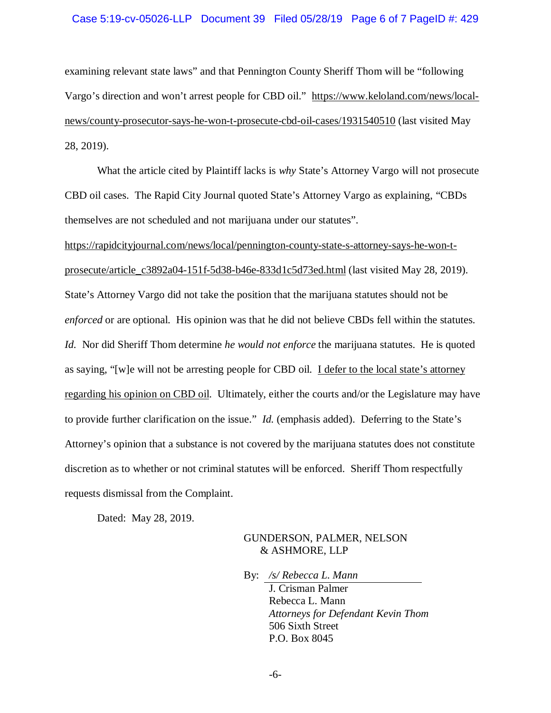### Case 5:19-cv-05026-LLP Document 39 Filed 05/28/19 Page 6 of 7 PageID #: 429

examining relevant state laws" and that Pennington County Sheriff Thom will be "following Vargo's direction and won't arrest people for CBD oil." [https://www.keloland.com/news/local](https://www.keloland.com/news/local-)news/county-prosecutor-says-he-won-t-prosecute-cbd-oil-cases/1931540510 (last visited May 28, 2019).

What the article cited by Plaintiff lacks is *why* State's Attorney Vargo will not prosecute CBD oil cases. The Rapid City Journal quoted State's Attorney Vargo as explaining, "CBDs themselves are not scheduled and not marijuana under our statutes".

[https://rapidcityjournal.com/news/local/pennington-county-state-s-attorney-says-he-won-t](https://rapidcityjournal.com/news/local/pennington-county-state-s-attorney-says-he-won-t-)prosecute/article\_c3892a04-151f-5d38-b46e-833d1c5d73ed.html (last visited May 28, 2019). State's Attorney Vargo did not take the position that the marijuana statutes should not be *enforced* or are optional. His opinion was that he did not believe CBDs fell within the statutes. *Id.* Nor did Sheriff Thom determine *he would not enforce* the marijuana statutes. He is quoted as saying, "[w]e will not be arresting people for CBD oil. I defer to the local state's attorney regarding his opinion on CBD oil. Ultimately, either the courts and/or the Legislature may have to provide further clarification on the issue." *Id.* (emphasis added). Deferring to the State's Attorney's opinion that a substance is not covered by the marijuana statutes does not constitute discretion as to whether or not criminal statutes will be enforced. Sheriff Thom respectfully requests dismissal from the Complaint.

Dated: May 28, 2019.

## GUNDERSON, PALMER, NELSON & ASHMORE, LLP

By: */s/ Rebecca L. Mann*

J. Crisman Palmer Rebecca L. Mann *Attorneys for Defendant Kevin Thom* 506 Sixth Street P.O. Box 8045

-6-